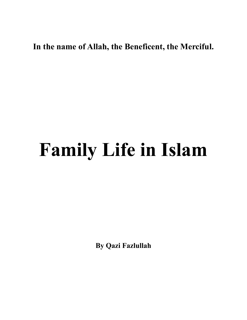## **In the name of Allah, the Beneficent, the Merciful.**

## **Family Life in Islam**

**By Qazi Fazlullah**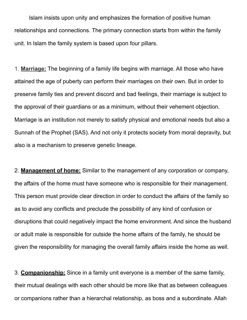Islam insists upon unity and emphasizes the formation of positive human relationships and connections. The primary connection starts from within the family unit. In Islam the family system is based upon four pillars.

1. **Marriage:** The beginning of a family life begins with marriage. All those who have attained the age of puberty can perform their marriages on their own. But in order to preserve family ties and prevent discord and bad feelings, their marriage is subject to the approval of their guardians or as a minimum, without their vehement objection. Marriage is an institution not merely to satisfy physical and emotional needs but also a Sunnah of the Prophet (SAS). And not only it protects society from moral depravity, but also is a mechanism to preserve genetic lineage.

2. **Management of home:** Similar to the management of any corporation or company, the affairs of the home must have someone who is responsible for their management. This person must provide clear direction in order to conduct the affairs of the family so as to avoid any conflicts and preclude the possibility of any kind of confusion or disruptions that could negatively impact the home environment. And since the husband or adult male is responsible for outside the home affairs of the family, he should be given the responsibility for managing the overall family affairs inside the home as well.

3. **Companionship:** Since in a family unit everyone is a member of the same family, their mutual dealings with each other should be more like that as between colleagues or companions rather than a hierarchal relationship, as boss and a subordinate. Allah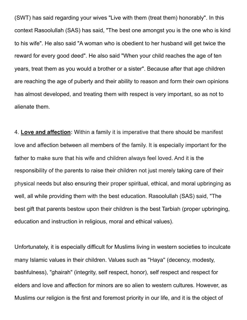(SWT) has said regarding your wives "Live with them (treat them) honorably". In this context Rasoolullah (SAS) has said, "The best one amongst you is the one who is kind to his wife". He also said "A woman who is obedient to her husband will get twice the reward for every good deed". He also said "When your child reaches the age of ten years, treat them as you would a brother or a sister". Because after that age children are reaching the age of puberty and their ability to reason and form their own opinions has almost developed, and treating them with respect is very important, so as not to alienate them.

4. **Love and affection:** Within a family it is imperative that there should be manifest love and affection between all members of the family. It is especially important for the father to make sure that his wife and children always feel loved. And it is the responsibility of the parents to raise their children not just merely taking care of their physical needs but also ensuring their proper spiritual, ethical, and moral upbringing as well, all while providing them with the best education. Rasoolullah (SAS) said, "The best gift that parents bestow upon their children is the best Tarbiah (proper upbringing, education and instruction in religious, moral and ethical values).

Unfortunately, it is especially difficult for Muslims living in western societies to inculcate many Islamic values in their children. Values such as ''Haya'' (decency, modesty, bashfulness), "ghairah" (integrity, self respect, honor), self respect and respect for elders and love and affection for minors are so alien to western cultures. However, as Muslims our religion is the first and foremost priority in our life, and it is the object of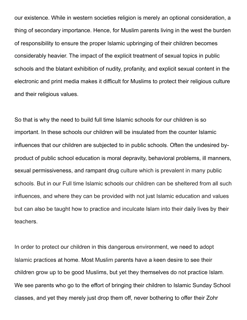our existence. While in western societies religion is merely an optional consideration, a thing of secondary importance. Hence, for Muslim parents living in the west the burden of responsibility to ensure the proper Islamic upbringing of their children becomes considerably heavier. The impact of the explicit treatment of sexual topics in public schools and the blatant exhibition of nudity, profanity, and explicit sexual content in the electronic and print media makes it difficult for Muslims to protect their religious culture and their religious values.

So that is why the need to build full time Islamic schools for our children is so important. In these schools our children will be insulated from the counter Islamic influences that our children are subjected to in public schools. Often the undesired byproduct of public school education is moral depravity, behavioral problems, ill manners, sexual permissiveness, and rampant drug culture which is prevalent in many public schools. But in our Full time Islamic schools our children can be sheltered from all such influences, and where they can be provided with not just Islamic education and values but can also be taught how to practice and inculcate Islam into their daily lives by their teachers.

In order to protect our children in this dangerous environment, we need to adopt Islamic practices at home. Most Muslim parents have a keen desire to see their children grow up to be good Muslims, but yet they themselves do not practice Islam. We see parents who go to the effort of bringing their children to Islamic Sunday School classes, and yet they merely just drop them off, never bothering to offer their Zohr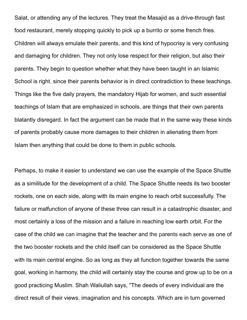Salat, or attending any of the lectures. They treat the Masajid as a drive-through fast food restaurant, merely stopping quickly to pick up a burrito or some french fries. Children will always emulate their parents, and this kind of hypocrisy is very confusing and damaging for children. They not only lose respect for their religion, but also their parents. They begin to question whether what they have been taught in an Islamic School is right, since their parents behavior is in direct contradiction to these teachings. Things like the five daily prayers, the mandatory Hijab for women, and such essential teachings of Islam that are emphasized in schools, are things that their own parents blatantly disregard. In fact the argument can be made that in the same way these kinds of parents probably cause more damages to their children in alienating them from Islam then anything that could be done to them in public schools.

Perhaps, to make it easier to understand we can use the example of the Space Shuttle as a similitude for the development of a child. The Space Shuttle needs its two booster rockets, one on each side, along with its main engine to reach orbit successfully. The failure or malfunction of anyone of these three can result in a catastrophic disaster, and most certainly a loss of the mission and a failure in reaching low earth orbit. For the case of the child we can imagine that the teacher and the parents each serve as one of the two booster rockets and the child itself can be considered as the Space Shuttle with its main central engine. So as long as they all function together towards the same goal, working in harmony, the child will certainly stay the course and grow up to be on a good practicing Muslim. Shah Waliullah says, "The deeds of every individual are the direct result of their views, imagination and his concepts. Which are in turn governed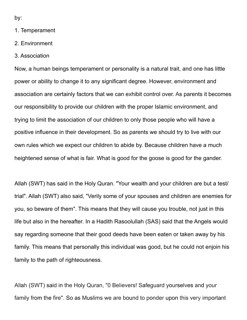by:

- 1. Temperament
- 2. Environment
- 3. Association

Now, a human beings temperament or personality is a natural trait, and one has little power or ability to change it to any significant degree. However, environment and association are certainly factors that we can exhibit control over. As parents it becomes our responsibility to provide our children with the proper Islamic environment, and trying to limit the association of our children to only those people who will have a positive influence in their development. So as parents we should try to live with our own rules which we expect our children to abide by. Because children have a much heightened sense of what is fair. What is good for the goose is good for the gander.

Allah (SWT) has said in the Holy Quran. "Your wealth and your children are but a test/ trial". Allah (SWT) also said, "Verily some of your spouses and children are enemies for you, so beware of them". This means that they will cause you trouble, not just in this life but also in the hereafter. In a Hadith Rasoolullah (SAS) said that the Angels would say regarding someone that their good deeds have been eaten or taken away by his family. This means that personally this individual was good, but he could not enjoin his family to the path of righteousness.

Allah (SWT) said in the Holy Quran, "0 Believers! Safeguard yourselves and your family from the fire". So as Muslims we are bound to ponder upon this very important